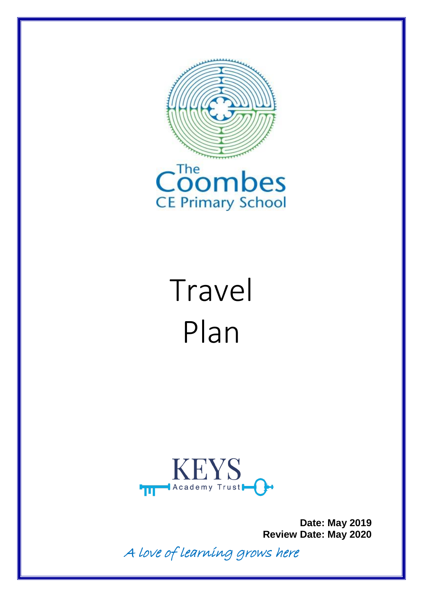



# Travel Plan



**Date: May 2019 Review Date: May 2020**

A love of learning grows here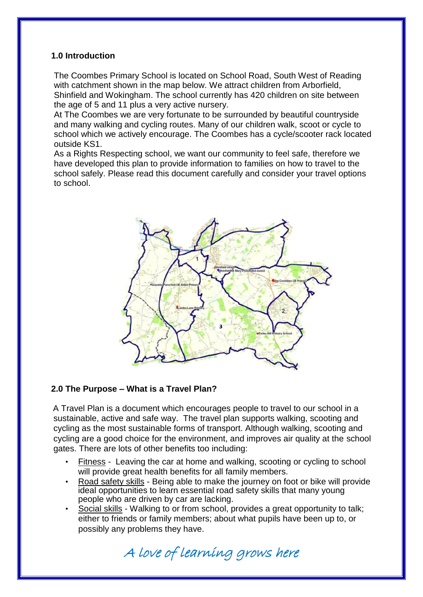#### **1.0 Introduction**

The Coombes Primary School is located on School Road, South West of Reading with catchment shown in the map below. We attract children from Arborfield, Shinfield and Wokingham. The school currently has 420 children on site between the age of 5 and 11 plus a very active nursery.

At The Coombes we are very fortunate to be surrounded by beautiful countryside and many walking and cycling routes. Many of our children walk, scoot or cycle to school which we actively encourage. The Coombes has a cycle/scooter rack located outside KS1.

As a Rights Respecting school, we want our community to feel safe, therefore we have developed this plan to provide information to families on how to travel to the school safely. Please read this document carefully and consider your travel options to school.



#### **2.0 The Purpose – What is a Travel Plan?**

A Travel Plan is a document which encourages people to travel to our school in a sustainable, active and safe way. The travel plan supports walking, scooting and cycling as the most sustainable forms of transport. Although walking, scooting and cycling are a good choice for the environment, and improves air quality at the school gates. There are lots of other benefits too including:

- Fitness Leaving the car at home and walking, scooting or cycling to school will provide great health benefits for all family members.
- Road safety skills Being able to make the journey on foot or bike will provide ideal opportunities to learn essential road safety skills that many young people who are driven by car are lacking.
- Social skills Walking to or from school, provides a great opportunity to talk; either to friends or family members; about what pupils have been up to, or possibly any problems they have.

A love of learning grows here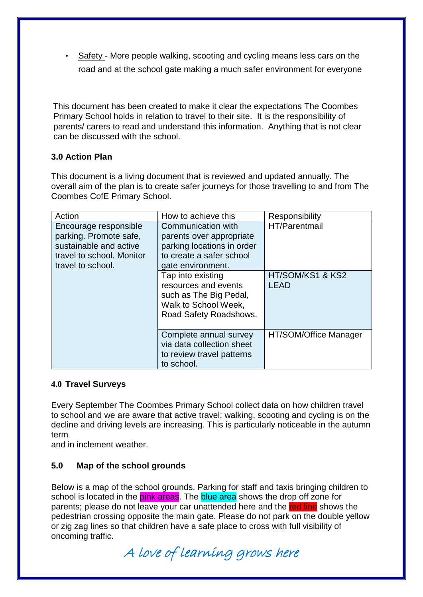Safety - More people walking, scooting and cycling means less cars on the road and at the school gate making a much safer environment for everyone

This document has been created to make it clear the expectations The Coombes Primary School holds in relation to travel to their site. It is the responsibility of parents/ carers to read and understand this information. Anything that is not clear can be discussed with the school.

#### **3.0 Action Plan**

This document is a living document that is reviewed and updated annually. The overall aim of the plan is to create safer journeys for those travelling to and from The Coombes CofE Primary School.

| Action                                                                                                                      | How to achieve this                                                                                                           | Responsibility           |
|-----------------------------------------------------------------------------------------------------------------------------|-------------------------------------------------------------------------------------------------------------------------------|--------------------------|
| Encourage responsible<br>parking. Promote safe,<br>sustainable and active<br>travel to school. Monitor<br>travel to school. | Communication with<br>parents over appropriate<br>parking locations in order<br>to create a safer school<br>gate environment. | HT/Parentmail            |
|                                                                                                                             | Tap into existing<br>resources and events<br>such as The Big Pedal,<br>Walk to School Week,<br>Road Safety Roadshows.         | HT/SOM/KS1 & KS2<br>LEAD |
|                                                                                                                             | Complete annual survey<br>via data collection sheet<br>to review travel patterns<br>to school.                                | HT/SOM/Office Manager    |

#### **4.0 Travel Surveys**

Every September The Coombes Primary School collect data on how children travel to school and we are aware that active travel; walking, scooting and cycling is on the decline and driving levels are increasing. This is particularly noticeable in the autumn term

and in inclement weather.

#### **5.0 Map of the school grounds**

Below is a map of the school grounds. Parking for staff and taxis bringing children to school is located in the pink areas. The blue area shows the drop off zone for parents; please do not leave your car unattended here and the red line shows the pedestrian crossing opposite the main gate. Please do not park on the double yellow or zig zag lines so that children have a safe place to cross with full visibility of oncoming traffic.

A love of learning grows here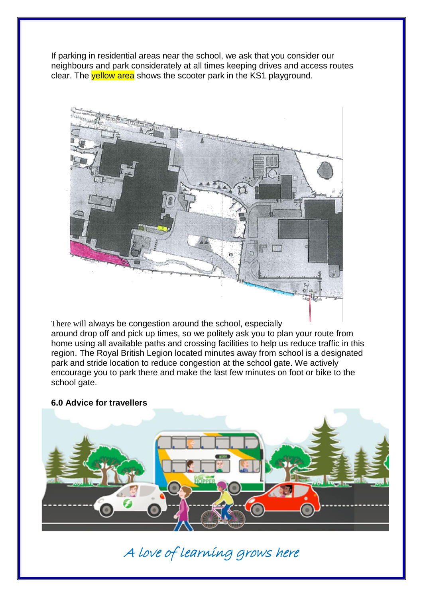If parking in residential areas near the school, we ask that you consider our neighbours and park considerately at all times keeping drives and access routes clear. The **yellow area** shows the scooter park in the KS1 playground.



There will always be congestion around the school, especially around drop off and pick up times, so we politely ask you to plan your route from home using all available paths and crossing facilities to help us reduce traffic in this region. The Royal British Legion located minutes away from school is a designated park and stride location to reduce congestion at the school gate. We actively encourage you to park there and make the last few minutes on foot or bike to the school gate.

#### **6.0 Advice for travellers**



## A love of learning grows here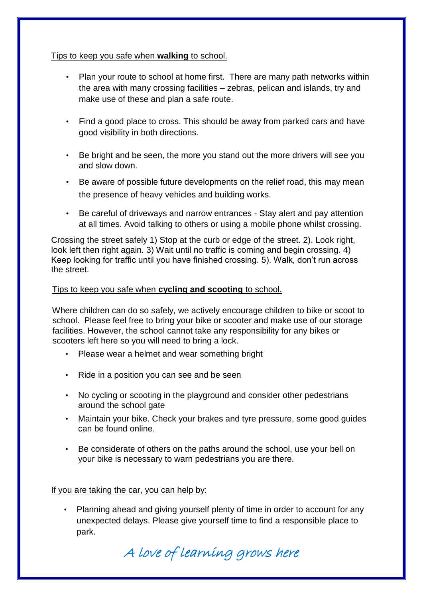#### Tips to keep you safe when **walking** to school.

- Plan your route to school at home first. There are many path networks within the area with many crossing facilities – zebras, pelican and islands, try and make use of these and plan a safe route.
- Find a good place to cross. This should be away from parked cars and have good visibility in both directions.
- Be bright and be seen, the more you stand out the more drivers will see you and slow down.
- Be aware of possible future developments on the relief road, this may mean the presence of heavy vehicles and building works.
- Be careful of driveways and narrow entrances Stay alert and pay attention at all times. Avoid talking to others or using a mobile phone whilst crossing.

Crossing the street safely 1) Stop at the curb or edge of the street. 2). Look right, look left then right again. 3) Wait until no traffic is coming and begin crossing. 4) Keep looking for traffic until you have finished crossing. 5). Walk, don't run across the street.

#### Tips to keep you safe when **cycling and scooting** to school.

Where children can do so safely, we actively encourage children to bike or scoot to school. Please feel free to bring your bike or scooter and make use of our storage facilities. However, the school cannot take any responsibility for any bikes or scooters left here so you will need to bring a lock.

- Please wear a helmet and wear something bright
- Ride in a position you can see and be seen
- No cycling or scooting in the playground and consider other pedestrians around the school gate
- Maintain your bike. Check your brakes and tyre pressure, some good guides can be found online.
- Be considerate of others on the paths around the school, use your bell on your bike is necessary to warn pedestrians you are there.

If you are taking the car, you can help by:

Planning ahead and giving yourself plenty of time in order to account for any unexpected delays. Please give yourself time to find a responsible place to park.

A love of learning grows here